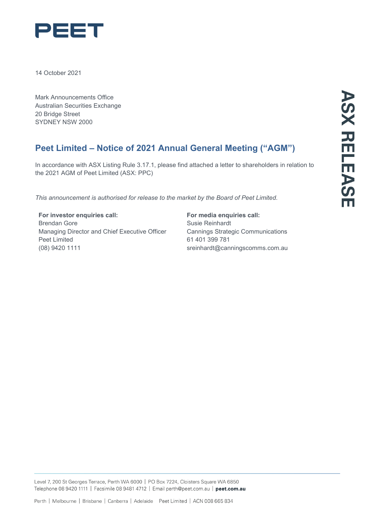

14 October 2021

Mark Announcements Office Australian Securities Exchange 20 Bridge Street SYDNEY NSW 2000

# **Peet Limited – Notice of 2021 Annual General Meeting ("AGM")**

In accordance with ASX Listing Rule 3.17.1, please find attached a letter to shareholders in relation to the 2021 AGM of Peet Limited (ASX: PPC)

*This announcement is authorised for release to the market by the Board of Peet Limited.*

**For investor enquiries call:** Brendan Gore Managing Director and Chief Executive Officer Peet Limited (08) 9420 1111

# **For media enquiries call:** Susie Reinhardt Cannings Strategic Communications

61 401 399 781 [sreinhardt@canningscomms.com.au](mailto:sreinhardt@canningscomms.com.au)

Level 7, 200 St Georges Terrace, Perth WA 6000 | PO Box 7224, Cloisters Square WA 6850 Telephone 08 9420 1111 | Facsimile 08 9481 4712 | Email perth@peet.com.au | peet.com.au